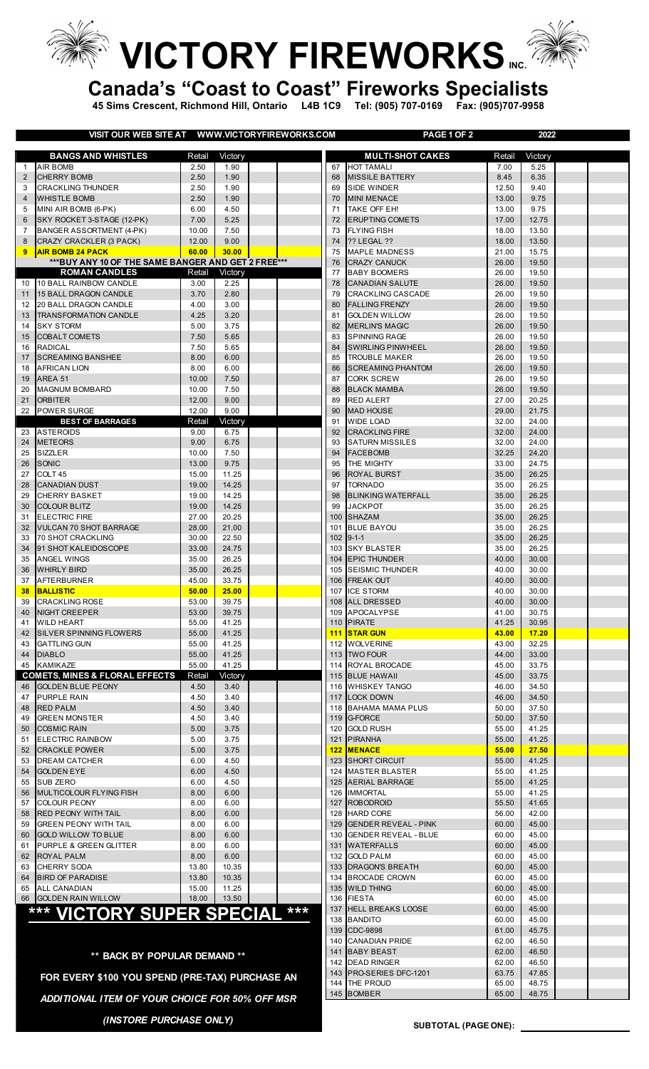**VICTORY FIREWORKS.** 

**Canada's "Coast to Coast" Fireworks Specialists**

**45 Sims Crescent, Richmond Hill, Ontario L4B 1C9 Tel: (905) 707-0169 Fax: (905)707-9958**

**VISIT OUR WEB SITE AT WWW.VICTORYFIREWORKS.COM PAGE 1 OF 2 2022**

|                     | <b>VISH OUR WEB SHEAT WWWW.VIGTORTFIREWORKS.COM</b>    |                |                 |     |          | <b>FAUL I UF 4</b>                            |                | ZUZZ           |  |
|---------------------|--------------------------------------------------------|----------------|-----------------|-----|----------|-----------------------------------------------|----------------|----------------|--|
|                     | <b>BANGS AND WHISTLES</b>                              | Retail         | Victory         |     |          | <b>MULTI-SHOT CAKES</b>                       | Retail         | Victory        |  |
| $\mathbf{1}$        | <b>AIR BOMB</b>                                        | 2.50           | 1.90            |     | 67       | <b>HOT TAMALI</b>                             | 7.00           | 5.25           |  |
| 2                   | <b>CHERRY BOMB</b>                                     | 2.50           | 1.90            |     | 68       | <b>MISSILE BATTERY</b>                        | 8.45           | 6.35           |  |
| 3                   | <b>CRACKLING THUNDER</b>                               | 2.50           | 1.90            |     | 69       | SIDE WINDER                                   | 12.50          | 9.40           |  |
| $\overline{4}$      | <b>WHISTLE BOMB</b>                                    | 2.50           | 1.90            |     | 70       | <b>MINI MENACE</b>                            | 13.00          | 9.75           |  |
| 5                   | MINI AIR BOMB (6-PK)                                   | 6.00           | 4.50            |     | 71       | TAKE OFF EH!                                  | 13.00          | 9.75           |  |
| 6<br>$\overline{7}$ | SKY ROCKET 3-STAGE (12-PK)<br>BANGER ASSORTMENT (4-PK) | 7.00<br>10.00  | 5.25<br>7.50    |     | 72<br>73 | <b>ERUPTING COMETS</b><br><b>FLYING FISH</b>  | 17.00<br>18.00 | 12.75<br>13.50 |  |
| 8                   | CRAZY CRACKLER (3 PACK)                                | 12.00          | 9.00            |     | 74       | <b>?? LEGAL ??</b>                            | 18.00          | 13.50          |  |
| 9                   | <b>AIR BOMB 24 PACK</b>                                | 60.00          | 30.00           |     | 75       | <b>MAPLE MADNESS</b>                          | 21.00          | 15.75          |  |
|                     | *** BUY ANY 10 OF THE SAME BANGER AND GET 2 FREE***    |                |                 |     | 76       | <b>CRAZY CANUCK</b>                           | 26.00          | 19.50          |  |
|                     | <b>ROMAN CANDLES</b>                                   | Retail         | Victory         |     | 77       | <b>BABY BOOMERS</b>                           | 26.00          | 19.50          |  |
| 10                  | 10 BALL RAINBOW CANDLE                                 | 3.00           | 2.25            |     | 78       | <b>CANADIAN SALUTE</b>                        | 26.00          | 19.50          |  |
| 11                  | 15 BALL DRAGON CANDLE                                  | 3.70           | 2.80            |     | 79       | <b>CRACKLING CASCADE</b>                      | 26.00          | 19.50          |  |
| 12                  | 20 BALL DRAGON CANDLE                                  | 4.00           | 3.00            |     | 80       | <b>FALLING FRENZY</b>                         | 26.00          | 19.50          |  |
| 13<br>14            | <b>TRANSFORMATION CANDLE</b><br><b>SKY STORM</b>       | 4.25<br>5.00   | 3.20<br>3.75    |     | 81<br>82 | <b>GOLDEN WILLOW</b><br><b>MERLIN'S MAGIC</b> | 26.00<br>26.00 | 19.50<br>19.50 |  |
| 15                  | COBALT COMETS                                          | 7.50           | 5.65            |     | 83       | <b>SPINNING RAGE</b>                          | 26.00          | 19.50          |  |
| 16                  | <b>RADICAL</b>                                         | 7.50           | 5.65            |     | 84       | <b>SWIRLING PINWHEEL</b>                      | 26.00          | 19.50          |  |
| 17                  | <b>SCREAMING BANSHEE</b>                               | 8.00           | 6.00            |     | 85       | <b>TROUBLE MAKER</b>                          | 26.00          | 19.50          |  |
| 18                  | <b>AFRICAN LION</b>                                    | 8.00           | 6.00            |     | 86       | <b>SCREAMING PHANTOM</b>                      | 26.00          | 19.50          |  |
| 19                  | AREA 51                                                | 10.00          | 7.50            |     | 87       | <b>CORK SCREW</b>                             | 26.00          | 19.50          |  |
| 20                  | <b>MAGNUM BOMBARD</b>                                  | 10.00          | 7.50            |     | 88       | <b>BLACK MAMBA</b>                            | 26.00          | 19.50          |  |
| 21                  | <b>ORBITER</b>                                         | 12.00          | 9.00            |     | 89       | <b>RED ALERT</b>                              | 27.00          | 20.25          |  |
| 22                  | <b>POWER SURGE</b>                                     | 12.00          | 9.00            |     | 90       | <b>MAD HOUSE</b>                              | 29.00          | 21.75          |  |
| 23                  | <b>BEST OF BARRAGES</b><br><b>ASTEROIDS</b>            | Retail<br>9.00 | Victory<br>6.75 |     | 91<br>92 | <b>WIDE LOAD</b><br><b>CRACKLING FIRE</b>     | 32.00<br>32.00 | 24.00<br>24.00 |  |
| 24                  | <b>METEORS</b>                                         | 9.00           | 6.75            |     | 93       | <b>SATURN MISSILES</b>                        | 32.00          | 24.00          |  |
| 25                  | SIZZLER                                                | 10.00          | 7.50            |     | 94       | <b>FACEBOMB</b>                               | 32.25          | 24.20          |  |
| 26                  | <b>SONIC</b>                                           | 13.00          | 9.75            |     | 95       | THE MIGHTY                                    | 33.00          | 24.75          |  |
| 27                  | COLT <sub>45</sub>                                     | 15.00          | 11.25           |     | 96       | <b>ROYAL BURST</b>                            | 35.00          | 26.25          |  |
| 28                  | <b>CANADIAN DUST</b>                                   | 19.00          | 14.25           |     | 97       | <b>TORNADO</b>                                | 35.00          | 26.25          |  |
| 29                  | <b>CHERRY BASKET</b>                                   | 19.00          | 14.25           |     | 98       | <b>BLINKING WATERFALL</b>                     | 35.00          | 26.25          |  |
| 30                  | <b>COLOUR BLITZ</b>                                    | 19.00          | 14.25           |     | 99       | <b>JACKPOT</b>                                | 35.00          | 26.25          |  |
| 31<br>32            | <b>ELECTRIC FIRE</b><br><b>VULCAN 70 SHOT BARRAGE</b>  | 27.00<br>28.00 | 20.25<br>21.00  |     | 101      | 100 SHAZAM<br><b>BLUE BAYOU</b>               | 35.00<br>35.00 | 26.25<br>26.25 |  |
| 33                  | <b>70 SHOT CRACKLING</b>                               | 30.00          | 22.50           |     |          | $102$ 9-1-1                                   | 35.00          | 26.25          |  |
| 34                  | 91 SHOT KALEIDOSCOPE                                   | 33.00          | 24.75           |     |          | 103 SKY BLASTER                               | 35.00          | 26.25          |  |
| 35                  | <b>ANGEL WINGS</b>                                     | 35.00          | 26.25           |     |          | 104 EPIC THUNDER                              | 40.00          | 30.00          |  |
| 36                  | <b>WHIRLY BIRD</b>                                     | 35.00          | 26.25           |     |          | 105 SEISMIC THUNDER                           | 40.00          | 30.00          |  |
| 37                  | <b>AFTERBURNER</b>                                     | 45.00          | 33.75           |     |          | 106 FREAK OUT                                 | 40.00          | 30.00          |  |
| 38                  | <b>BALLISTIC</b>                                       | 50.00          | 25.00           |     | 107      | <b>ICE STORM</b>                              | 40.00          | 30.00          |  |
| 39                  | <b>CRACKLING ROSE</b>                                  | 53.00<br>53.00 | 39.75<br>39.75  |     |          | 108 ALL DRESSED<br>109 APOCALYPSE             | 40.00          | 30.00          |  |
| 41                  | 40 NIGHT CREEPER<br><b>WILD HEART</b>                  | 55.00          | 41.25           |     |          | 110 PIRATE                                    | 41.00<br>41.25 | 30.75<br>30.95 |  |
| 42                  | <b>SILVER SPINNING FLOWERS</b>                         | 55.00          | 41.25           |     |          | <b>111 STAR GUN</b>                           | 43.00          | 17.20          |  |
| 43                  | <b>GATTLING GUN</b>                                    | 55.00          | 41.25           |     |          | 112 WOLVERINE                                 | 43.00          | 32.25          |  |
|                     | 44 DIABLO                                              | 55.00          | 41.25           |     |          | 113 TWO FOUR                                  | 44.00          | 33.00          |  |
|                     | 45 KAMIKAZE                                            | 55.00          | 41.25           |     |          | 114 ROYAL BROCADE                             | 45.00          | 33.75          |  |
|                     | <b>COMETS, MINES &amp; FLORAL EFFECTS</b>              | Retail         | Victory         |     |          | 115 BLUE HAWAII                               | 45.00          | 33.75          |  |
| 46                  | <b>GOLDEN BLUE PEONY</b>                               | 4.50           | 3.40            |     |          | 116 WHISKEY TANGO                             | 46.00          | 34.50          |  |
| 47<br>48            | <b>PURPLE RAIN</b><br><b>RED PALM</b>                  | 4.50<br>4.50   | 3.40<br>3.40    |     |          | 117 LOCK DOWN<br>118 BAHAMA MAMA PLUS         | 46.00<br>50.00 | 34.50<br>37.50 |  |
| 49                  | <b>GREEN MONSTER</b>                                   | 4.50           | 3.40            |     |          | 119 G-FORCE                                   | 50.00          | 37.50          |  |
| 50                  | <b>COSMIC RAIN</b>                                     | 5.00           | 3.75            |     |          | 120 GOLD RUSH                                 | 55.00          | 41.25          |  |
| 51                  | <b>ELECTRIC RAINBOW</b>                                | 5.00           | 3.75            |     |          | 121 PIRANHA                                   | 55.00          | 41.25          |  |
| 52                  | <b>CRACKLE POWER</b>                                   | 5.00           | 3.75            |     |          | 122 MENACE                                    | 55.00          | 27.50          |  |
| 53                  | <b>DREAM CATCHER</b>                                   | 6.00           | 4.50            |     |          | 123 SHORT CIRCUIT                             | 55.00          | 41.25          |  |
| 54                  | <b>GOLDEN EYE</b>                                      | 6.00           | 4.50            |     |          | 124 MASTER BLASTER                            | 55.00          | 41.25          |  |
| 55                  | <b>SUB ZERO</b>                                        | 6.00           | 4.50            |     |          | 125 AERIAL BARRAGE                            | 55.00          | 41.25          |  |
| 56<br>57            | MULTICOLOUR FLYING FISH<br><b>COLOUR PEONY</b>         | 8.00<br>8.00   | 6.00<br>6.00    |     |          | 126 IMMORTAL<br>127 ROBODROID                 | 55.00<br>55.50 | 41.25<br>41.65 |  |
| 58                  | <b>RED PEONY WITH TAIL</b>                             | 8.00           | 6.00            |     |          | 128 HARD CORE                                 | 56.00          | 42.00          |  |
| 59                  | <b>GREEN PEONY WITH TAIL</b>                           | 8.00           | 6.00            |     |          | 129 GENDER REVEAL - PINK                      | 60.00          | 45.00          |  |
| 60                  | <b>GOLD WILLOW TO BLUE</b>                             | 8.00           | 6.00            |     |          | 130 GENDER REVEAL - BLUE                      | 60.00          | 45.00          |  |
| 61                  | PURPLE & GREEN GLITTER                                 | 8.00           | 6.00            |     |          | 131 WATERFALLS                                | 60.00          | 45.00          |  |
| 62                  | <b>ROYAL PALM</b>                                      | 8.00           | 6.00            |     |          | 132 GOLD PALM                                 | 60.00          | 45.00          |  |
| 63                  | <b>CHERRY SODA</b>                                     | 13.80          | 10.35           |     |          | 133 DRAGON'S BREATH                           | 60.00          | 45.00          |  |
| 64                  | <b>BIRD OF PARADISE</b>                                | 13.80          | 10.35           |     |          | 134 BROCADE CROWN                             | 60.00          | 45.00          |  |
| 65                  | <b>ALL CANADIAN</b><br>66 GOLDEN RAIN WILLOW           | 15.00<br>18.00 | 11.25<br>13.50  |     |          | 135 WILD THING<br>136 FIESTA                  | 60.00<br>60.00 | 45.00<br>45.00 |  |
|                     |                                                        |                |                 | *** |          | 137 HELL BREAKS LOOSE                         | 60.00          | 45.00          |  |
|                     | <b>*** VICTORY SUPER SPECIAL</b>                       |                |                 |     |          | 138 BANDITO                                   | 60.00          | 45.00          |  |
|                     |                                                        |                |                 |     |          | 139 CDC-9898                                  | 61.00          | 45.75          |  |
|                     |                                                        |                |                 |     |          | 140 CANADIAN PRIDE                            | 62.00          | 46.50          |  |
|                     | ** BACK BY POPULAR DEMAND **                           |                |                 |     |          | 141 BABY BEAST                                | 62.00          | 46.50          |  |
|                     |                                                        |                |                 |     |          | 142 DEAD RINGER<br>143 PRO-SERIES DFC-1201    | 62.00          | 46.50<br>47.85 |  |
|                     | FOR EVERY \$100 YOU SPEND (PRE-TAX) PURCHASE AN        |                |                 |     |          | 144 THE PROUD                                 | 63.75<br>65.00 | 48.75          |  |
|                     |                                                        |                |                 |     |          |                                               |                |                |  |

*ADDITIONAL ITEM OF YOUR CHOICE FOR 50% OFF MSR*

*(INSTORE PURCHASE ONLY)*

BOMBER 65.00 48.75